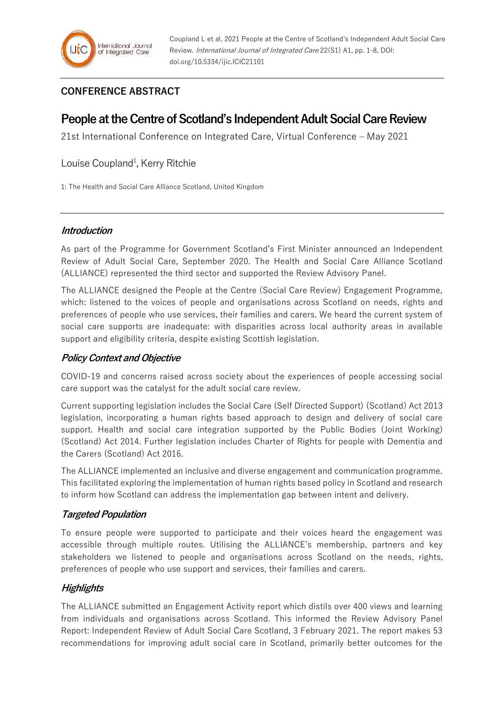## **CONFERENCE ABSTRACT**

# **People at the Centre of Scotland's Independent Adult Social Care Review**

21st International Conference on Integrated Care, Virtual Conference – May 2021

### Louise Coupland<sup>1</sup>, Kerry Ritchie

1: The Health and Social Care Alliance Scotland, United Kingdom

#### **Introduction**

As part of the Programme for Government Scotland's First Minister announced an Independent Review of Adult Social Care, September 2020. The Health and Social Care Alliance Scotland (ALLIANCE) represented the third sector and supported the Review Advisory Panel.

The ALLIANCE designed the People at the Centre (Social Care Review) Engagement Programme, which: listened to the voices of people and organisations across Scotland on needs, rights and preferences of people who use services, their families and carers. We heard the current system of social care supports are inadequate: with disparities across local authority areas in available support and eligibility criteria, despite existing Scottish legislation.

#### **Policy Context and Objective**

COVID-19 and concerns raised across society about the experiences of people accessing social care support was the catalyst for the adult social care review.

Current supporting legislation includes the Social Care (Self Directed Support) (Scotland) Act 2013 legislation, incorporating a human rights based approach to design and delivery of social care support. Health and social care integration supported by the Public Bodies (Joint Working) (Scotland) Act 2014. Further legislation includes Charter of Rights for people with Dementia and the Carers (Scotland) Act 2016.

The ALLIANCE implemented an inclusive and diverse engagement and communication programme. This facilitated exploring the implementation of human rights based policy in Scotland and research to inform how Scotland can address the implementation gap between intent and delivery.

#### **Targeted Population**

To ensure people were supported to participate and their voices heard the engagement was accessible through multiple routes. Utilising the ALLIANCE's membership, partners and key stakeholders we listened to people and organisations across Scotland on the needs, rights, preferences of people who use support and services, their families and carers.

#### **Highlights**

The ALLIANCE submitted an Engagement Activity report which distils over 400 views and learning from individuals and organisations across Scotland. This informed the Review Advisory Panel Report: Independent Review of Adult Social Care Scotland, 3 February 2021. The report makes 53 recommendations for improving adult social care in Scotland, primarily better outcomes for the